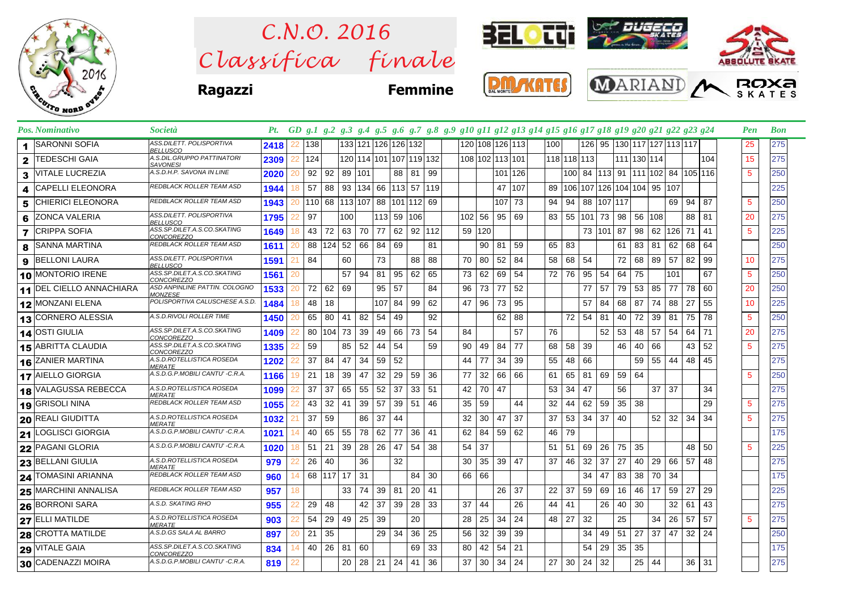

*C lassifica* finale *C.N.O. 2016*



**Ragazzi Femmine**





|   | 2 TEDESCHI GAIA                 | A.S.DIL.GRUPPO PATTINATORI<br><b>SAVONESI</b>    | 2309 |    | 124 |                 |              |                      | 120 114 101 107 119 132      |          |          |            |          |     | 108 102 113 101      |         |    | 118 118 113 |    |           | 111 130 114                                 |         |              |           |         | 104 | 15              | 275 |
|---|---------------------------------|--------------------------------------------------|------|----|-----|-----------------|--------------|----------------------|------------------------------|----------|----------|------------|----------|-----|----------------------|---------|----|-------------|----|-----------|---------------------------------------------|---------|--------------|-----------|---------|-----|-----------------|-----|
|   | 3 VITALE LUCREZIA               | A.S.D.H.P. SAVONA IN LINE                        | 2020 |    | 92  | 92              | 89 101       |                      |                              |          | 88 81 99 |            |          |     |                      | 101 126 |    |             |    |           | 100   84  113   91  111  102   84  105  116 |         |              |           |         |     | 5               | 250 |
| 4 | <b>CAPELLI ELEONORA</b>         | REDBLACK ROLLER TEAM ASD                         | 1944 | 18 | 57  | 88              |              |                      | 93 134 66 113 57 119         |          |          |            |          |     |                      | 47 107  |    |             |    |           | 89 106 107 126 104 104 95 107               |         |              |           |         |     |                 | 225 |
| 5 | <b>CHIERICI ELEONORA</b>        | REDBLACK ROLLER TEAM ASD                         | 1943 |    |     |                 |              |                      | 110 68 113 107 88 101 112 69 |          |          |            |          |     |                      | 107 73  | 94 | 94          | 88 |           | 107 117                                     |         |              |           | 69 94   | 87  | $5\phantom{.0}$ | 250 |
| 6 | <b>ZONCA VALERIA</b>            | ASS.DILETT. POLISPORTIVA<br><b>BELLUSCO</b>      | 1795 |    | 97  |                 | 100          |                      | 113 59 106                   |          |          |            | $102$ 56 |     | 95 69                |         | 83 | 55 101 73   |    |           | 98 56 108                                   |         |              |           | 88      | 81  | 20              | 275 |
|   | <b>7</b> CRIPPA SOFIA           | ASS.SP.DILET.A.S.CO.SKATING<br>CONCOREZZO        | 1649 | 18 | 43  | 72              | 63 70        |                      | 77                           |          |          | 62 92 112  | 59       | 120 |                      |         |    |             |    | 73 101 87 |                                             | 98      |              | 62 126 71 |         | 41  | 5               | 225 |
|   | 8 SANNA MARTINA                 | REDBLACK ROLLER TEAM ASD                         | 1611 |    |     | 88 124 52 66    |              |                      | 84                           | 69       |          | 81         |          |     | $90$ 81              | 59      | 65 | 83          |    |           | 61                                          | 83      | 81           | 62 68     |         | 64  |                 | 250 |
| 9 | <b>BELLONI LAURA</b>            | ASS.DILETT. POLISPORTIVA<br><b>BELLUSCO</b>      | 1591 |    | 84  |                 | 60           |                      | 73                           |          | 88       | 88         | 70       | 80  | 52                   | 84      | 58 | 68          | 54 |           | 72                                          | 68      | 89           | 57        | 82      | 99  | 10              | 275 |
|   | 10 MONTORIO IRENE               | ASS.SP.DILET.A.S.CO.SKATING<br>CONCOREZZO        | 1561 |    |     |                 | 57           | 94                   | 81                           | 95 62    |          | 65         | 73       | 62  | 69                   | 54      | 72 | 76          | 95 | 54        | 64                                          | 75      |              | 101       |         | 67  | $5\phantom{.0}$ | 250 |
|   | <b>11 DEL CIELLO ANNACHIARA</b> | ASD ANPINLINE PATTIN. COLOGNO<br><b>MONZESE</b>  | 1533 |    | 72  | 62              | 69           |                      | 95                           | 57       |          | 84         | 96       | 73  | 77                   | 52      |    |             | 77 | 57        | 79                                          | 53      | 85           | 77        | 78      | 60  | 20              | 250 |
|   | 12 MONZANI ELENA                | POLISPORTIVA CALUSCHESE A.S.D.                   | 1484 | 18 | 48  | 18              |              |                      | 107                          | 84 99    |          | 62         | 47       | 96  | 73                   | 95      |    |             | 57 | 84        | 68                                          | 87      | 74           | 88        | 27      | 55  | 10              | 225 |
|   | 13 CORNERO ALESSIA              | A.S.D.RIVOLI ROLLER TIME                         | 1450 |    | 65  | 80              | 41           | 82                   | 54                           | 49       |          | 92         |          |     |                      | 62 88   |    | 72          | 54 | 81        |                                             | 40 72   | 39 81        |           | 75      | 78  | $5\phantom{.0}$ | 250 |
|   | 14 OSTI GIULIA                  | ASS.SP.DILET.A.S.CO.SKATING<br>CONCOREZZO        | 1409 |    |     | 80   104   73   |              | 39                   | 49                           | 66 73    |          | 54         | 84       |     |                      | 57      | 76 |             |    | 52        | 53                                          | 48      | 57           | 54        | 64      | 71  | 20              | 275 |
|   | <b>15 ABRITTA CLAUDIA</b>       | ASS.SP.DILET.A.S.CO.SKATING<br><b>CONCOREZZO</b> | 1335 |    | 59  |                 | 85 52        |                      | 44                           | 54       |          | 59         | 90       |     | 49 84 77             |         | 68 | 58          | 39 |           |                                             | 46 40   | 66           |           | 43      | 52  | $5^{\circ}$     | 275 |
|   | <b>16 ZANIER MARTINA</b>        | A.S.D.ROTELLISTICA ROSEDA<br><b>MERATE</b>       | 1202 |    | 37  | 84              | 47           | 34                   | 59                           | 52       |          |            | 44       | 77  | 34                   | 39      | 55 | 48          | 66 |           |                                             | 59      | 55           | 44        | 48      | 45  |                 | 275 |
|   | 17 AIELLO GIORGIA               | A.S.D.G.P.MOBILI CANTU' - C.R.A.                 | 1166 | 19 | 21  | 18              | $39 \mid 47$ |                      | 32                           | 29       | 59       | 36         | 77       | 32  | 66 66                |         | 61 | 65          | 81 | 69        | 59 64                                       |         |              |           |         |     | 5               | 250 |
|   | 18 VALAGUSSA REBECCA            | A.S.D.ROTELLISTICA ROSEDA<br><b>MERATE</b>       | 1099 |    | 37  | 37              | 65 55        |                      | 52                           | 37       | 33       | 51         | 42       |     | 70 47                |         | 53 | 34          | 47 |           | 56                                          |         | $37$ 37      |           |         | 34  |                 | 275 |
|   | 19 GRISOLI NINA                 | REDBLACK ROLLER TEAM ASD                         | 1055 |    | 43  | 32 <sup>1</sup> | 41           | 39                   | 57                           | 39 51    |          | -46        | 35       | 59  |                      | 44      | 32 | 44          | 62 | 59        | $35 \mid 38$                                |         |              |           |         | 29  | 5               | 275 |
|   | 20 REALI GIUDITTA               | A.S.D.ROTELLISTICA ROSEDA<br><b>MERATE</b>       | 1032 |    | 37  | 59              |              | 86                   | 37                           | 44       |          |            | 32       | 30  | 47                   | 37      | 37 | 53          | 34 | 37        | 40                                          |         | 52           | 32        | 34      | 34  | 5               | 275 |
|   | 21 LOGLISCI GIORGIA             | A.S.D.G.P.MOBILI CANTU' - C.R.A.                 | 1021 |    | 40  | 65              | 55           | 78                   | 62                           | 77       | 36       | 41         | 62       | 84  |                      | 59 62   | 46 | 79          |    |           |                                             |         |              |           |         |     |                 | 175 |
|   | <b>22</b> PAGANI GLORIA         | A.S.D.G.P.MOBILI CANTU' - C.R.A.                 | 1020 | 18 | 51  | 21              | $39 \mid 28$ |                      | 26                           | 47       | 54       | 38         | 54       | 37  |                      |         | 51 | 51          | 69 | 26        | 75                                          | 35      |              |           | 48      | 50  | 5               | 225 |
|   | 23 BELLANI GIULIA               | A.S.D.ROTELLISTICA ROSEDA<br><b>MERATE</b>       | 979  |    | 26  | 40              |              | 36                   |                              | 32       |          |            | 30       | 35  | 39                   | 47      | 37 | 46          | 32 | 37        | 27                                          | 40      | 29           | 66 57     |         | 48  |                 | 275 |
|   | 24 TOMASINI ARIANNA             | REDBLACK ROLLER TEAM ASD                         | 960  | 14 |     | 68 117 17       |              | 31                   |                              |          |          | $84$ 30    | 66       | 66  |                      |         |    |             | 34 | 47        | 83                                          | 38      | 70 I         | 34        |         |     |                 | 175 |
|   | 25 MARCHINI ANNALISA            | REDBLACK ROLLER TEAM ASD                         | 957  | 18 |     |                 | 33           | 74                   | 39                           | 81       | 20       | $\vert$ 41 |          |     | 26 <sup>1</sup>      | 37      | 22 | 37          | 59 | 69        | 16 46                                       |         | 17           | 59        | 27      | 29  |                 | 225 |
|   | <b>26 BORRONI SARA</b>          | A.S.D. SKATING RHO                               | 955  |    | 29  | 48              |              | 42                   | 37                           | 39       | 28 33    |            | 37       | 44  |                      | 26      | 44 | 41          |    | 26        | 40                                          | 30      |              | 32        | 61      | 43  |                 | 275 |
|   | 27 ELLI MATILDE                 | A.S.D.ROTELLISTICA ROSEDA<br><b>MERATE</b>       | 903  |    | 54  | 29              | 49 25        |                      | 39                           |          | 20       |            | 28       | 25  | 34                   | 24      | 48 | 27          | 32 |           | 25                                          |         | 34           | 26 57     |         | 57  | 5               | 275 |
|   | 28 CROTTA MATILDE               | A.S.D.GS SALA AL BARRO                           | 897  | 20 | 21  | 35              |              |                      | 29                           | 34       | 36       | 25         | 56       | 32  | 39                   | 39      |    |             | 34 | 49        | 51                                          | 27      | $37 \mid 47$ |           | 32      | 24  |                 | 250 |
|   | 29 VITALE GAIA                  | ASS.SP.DILET.A.S.CO.SKATING<br>CONCOREZZO        | 834  | 14 | 40  | 26              | 81           | 60                   |                              |          |          | 69 33      | 80       | 42  | 54 21                |         |    |             | 54 | 29        | $35 \mid 35$                                |         |              |           |         |     |                 | 175 |
|   | 30 CADENAZZI MOIRA              | A.S.D.G.P.MOBILI CANTU' - C.R.A.                 | 819  |    |     |                 |              | $20 \mid 28 \mid 21$ |                              | 24 41 36 |          |            | 37       |     | $30 \mid 34 \mid 24$ |         | 27 | 30          | 24 | 32        |                                             | $25$ 44 |              |           | $36$ 31 |     |                 | 275 |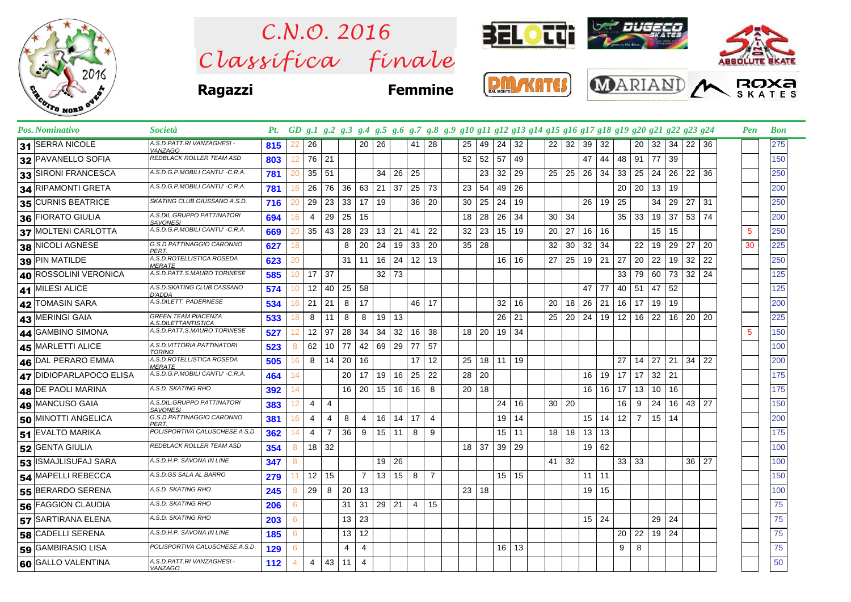

 $Clas$ s *ifica* finale *C.N.O. 2016*



**Ragazzi Femmi** 

| A<br>r, | <b>MANTER</b> |
|---------|---------------|